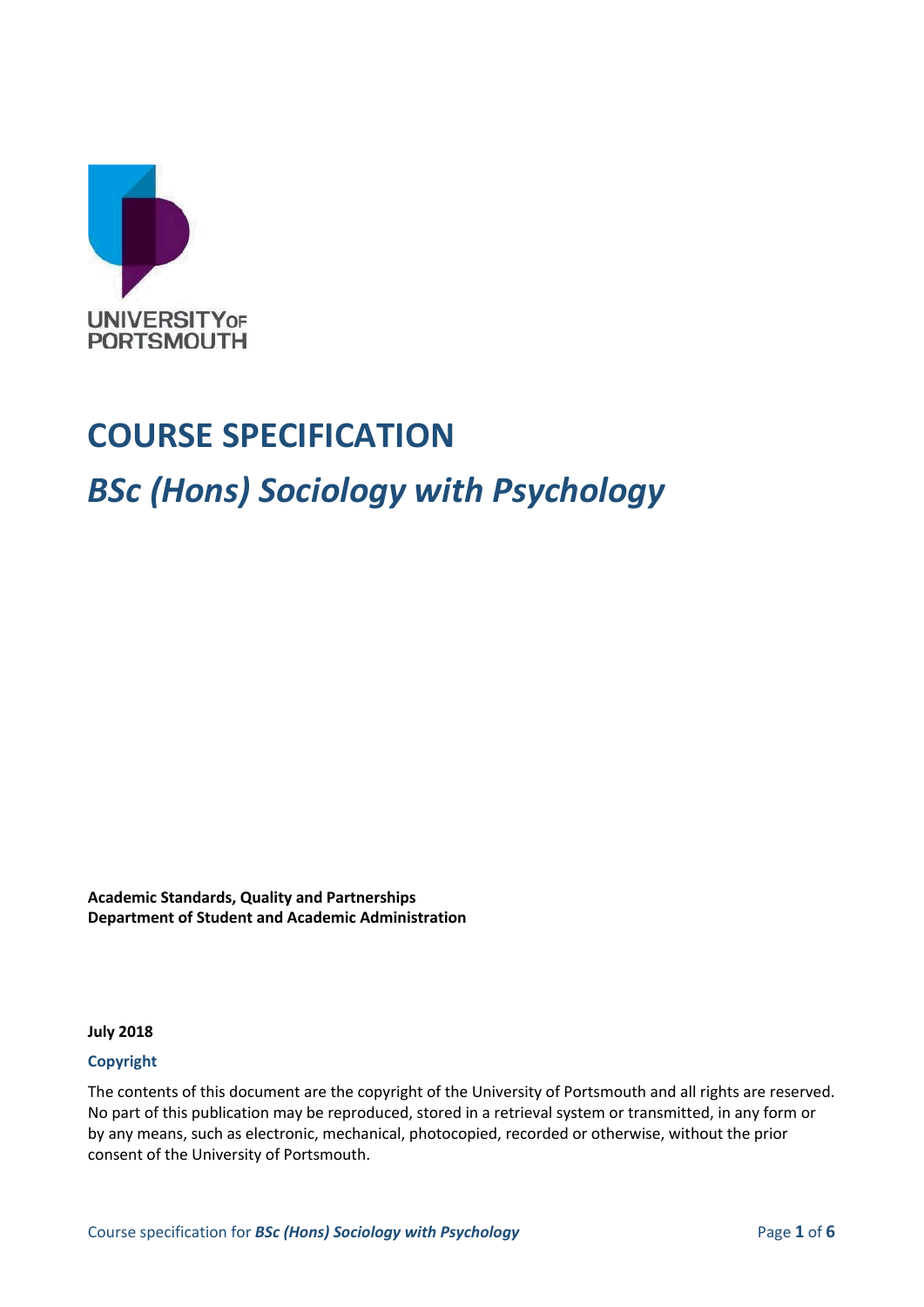

# **COURSE SPECIFICATION**

# *BSc (Hons) Sociology with Psychology*

**Academic Standards, Quality and Partnerships Department of Student and Academic Administration**

**July 2018**

#### **Copyright**

The contents of this document are the copyright of the University of Portsmouth and all rights are reserved. No part of this publication may be reproduced, stored in a retrieval system or transmitted, in any form or by any means, such as electronic, mechanical, photocopied, recorded or otherwise, without the prior consent of the University of Portsmouth.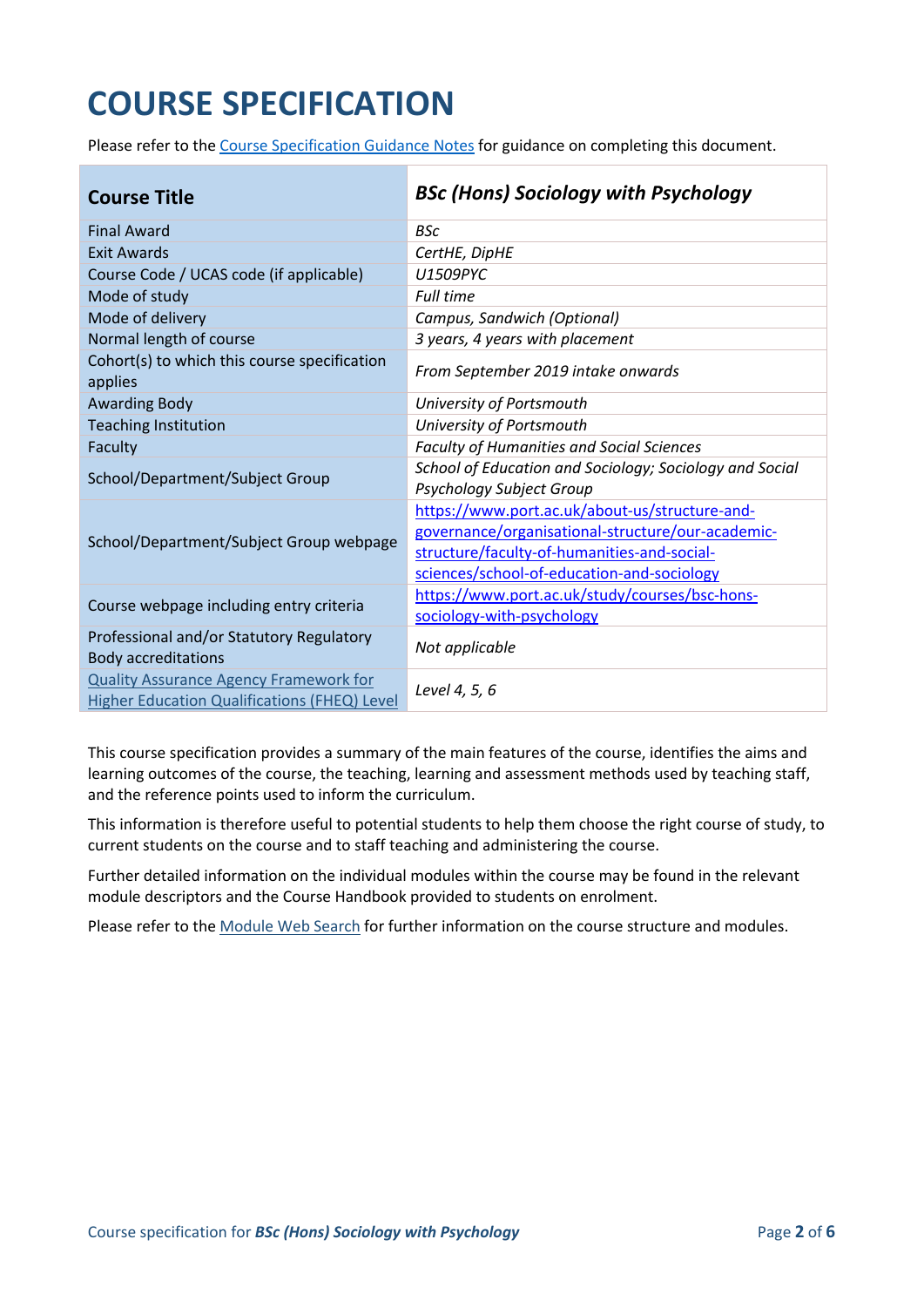# **COURSE SPECIFICATION**

Please refer to the [Course Specification Guidance Notes](http://www.port.ac.uk/departments/services/academicregistry/qmd/curriculum-framework-2019-20/filetodownload,201767,en.docx) for guidance on completing this document.

| <b>Course Title</b>                                                    | <b>BSc (Hons) Sociology with Psychology</b>             |  |
|------------------------------------------------------------------------|---------------------------------------------------------|--|
| <b>Final Award</b>                                                     | <b>BSc</b>                                              |  |
| <b>Exit Awards</b>                                                     | CertHE, DipHE                                           |  |
| Course Code / UCAS code (if applicable)                                | U1509PYC                                                |  |
| Mode of study                                                          | <b>Full time</b>                                        |  |
| Mode of delivery                                                       | Campus, Sandwich (Optional)                             |  |
| Normal length of course                                                | 3 years, 4 years with placement                         |  |
| Cohort(s) to which this course specification<br>applies                | From September 2019 intake onwards                      |  |
| <b>Awarding Body</b>                                                   | University of Portsmouth                                |  |
| <b>Teaching Institution</b>                                            | University of Portsmouth                                |  |
| Faculty                                                                | <b>Faculty of Humanities and Social Sciences</b>        |  |
| School/Department/Subject Group                                        | School of Education and Sociology; Sociology and Social |  |
|                                                                        | Psychology Subject Group                                |  |
|                                                                        | https://www.port.ac.uk/about-us/structure-and-          |  |
| School/Department/Subject Group webpage                                | governance/organisational-structure/our-academic-       |  |
|                                                                        | structure/faculty-of-humanities-and-social-             |  |
|                                                                        | sciences/school-of-education-and-sociology              |  |
| Course webpage including entry criteria                                | https://www.port.ac.uk/study/courses/bsc-hons-          |  |
|                                                                        | sociology-with-psychology                               |  |
| Professional and/or Statutory Regulatory<br><b>Body accreditations</b> | Not applicable                                          |  |
| <b>Quality Assurance Agency Framework for</b>                          | Level 4, 5, 6                                           |  |
| <b>Higher Education Qualifications (FHEQ) Level</b>                    |                                                         |  |

This course specification provides a summary of the main features of the course, identifies the aims and learning outcomes of the course, the teaching, learning and assessment methods used by teaching staff, and the reference points used to inform the curriculum.

This information is therefore useful to potential students to help them choose the right course of study, to current students on the course and to staff teaching and administering the course.

Further detailed information on the individual modules within the course may be found in the relevant module descriptors and the Course Handbook provided to students on enrolment.

Please refer to the [Module Web Search](https://register.port.ac.uk/ords/f?p=111:1:0:::::) for further information on the course structure and modules.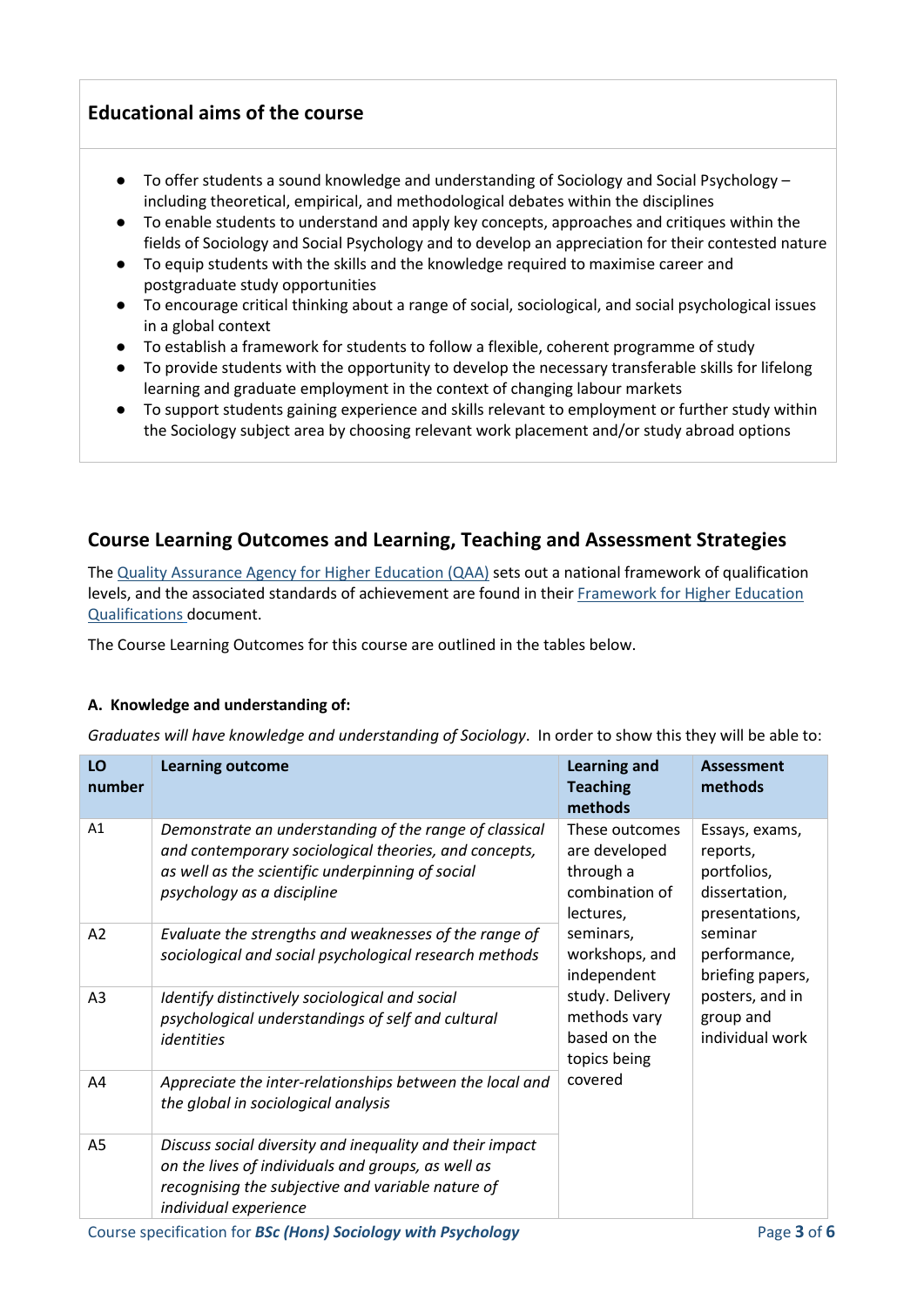# **Educational aims of the course**

- To offer students a sound knowledge and understanding of Sociology and Social Psychology including theoretical, empirical, and methodological debates within the disciplines
- To enable students to understand and apply key concepts, approaches and critiques within the fields of Sociology and Social Psychology and to develop an appreciation for their contested nature
- To equip students with the skills and the knowledge required to maximise career and postgraduate study opportunities
- To encourage critical thinking about a range of social, sociological, and social psychological issues in a global context
- To establish a framework for students to follow a flexible, coherent programme of study
- To provide students with the opportunity to develop the necessary transferable skills for lifelong learning and graduate employment in the context of changing labour markets
- To support students gaining experience and skills relevant to employment or further study within the Sociology subject area by choosing relevant work placement and/or study abroad options

# **Course Learning Outcomes and Learning, Teaching and Assessment Strategies**

The Quality Assurance [Agency for Higher Education \(QAA\)](http://www.qaa.ac.uk/en) sets out a national framework of qualification levels, and the associated standards of achievement are found in their [Framework for Higher Education](http://www.qaa.ac.uk/publications/information-and-guidance/publication/?PubID=2718#.WpmPXWrFL3i)  [Qualifications](http://www.qaa.ac.uk/publications/information-and-guidance/publication/?PubID=2718#.WpmPXWrFL3i) document.

The Course Learning Outcomes for this course are outlined in the tables below.

#### **A. Knowledge and understanding of:**

*Graduates will have knowledge and understanding of Sociology*. In order to show this they will be able to:

| LO<br>number   | <b>Learning outcome</b>                                                                                                                                                                           | <b>Learning and</b><br><b>Teaching</b><br>methods                           | <b>Assessment</b><br>methods                                                 |
|----------------|---------------------------------------------------------------------------------------------------------------------------------------------------------------------------------------------------|-----------------------------------------------------------------------------|------------------------------------------------------------------------------|
| A1             | Demonstrate an understanding of the range of classical<br>and contemporary sociological theories, and concepts,<br>as well as the scientific underpinning of social<br>psychology as a discipline | These outcomes<br>are developed<br>through a<br>combination of<br>lectures, | Essays, exams,<br>reports,<br>portfolios,<br>dissertation,<br>presentations, |
| A2             | Evaluate the strengths and weaknesses of the range of<br>sociological and social psychological research methods                                                                                   | seminars,<br>workshops, and<br>independent                                  | seminar<br>performance,<br>briefing papers,                                  |
| A3             | Identify distinctively sociological and social<br>psychological understandings of self and cultural<br>identities                                                                                 | study. Delivery<br>methods vary<br>based on the<br>topics being             | posters, and in<br>group and<br>individual work                              |
| A4             | Appreciate the inter-relationships between the local and<br>the global in sociological analysis                                                                                                   | covered                                                                     |                                                                              |
| A <sub>5</sub> | Discuss social diversity and inequality and their impact<br>on the lives of individuals and groups, as well as<br>recognising the subjective and variable nature of<br>individual experience      |                                                                             |                                                                              |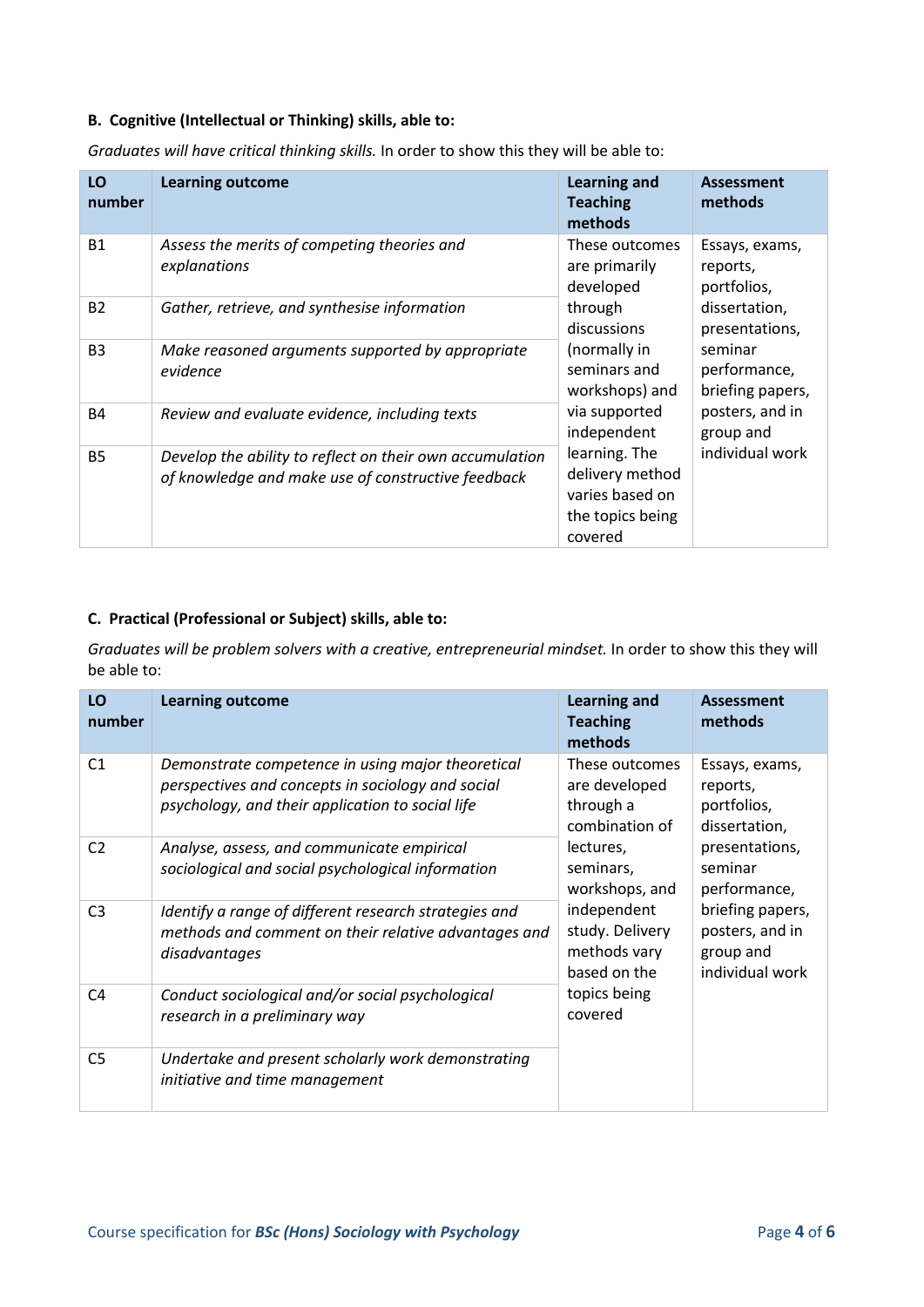#### **B. Cognitive (Intellectual or Thinking) skills, able to:**

| LO<br>number   | <b>Learning outcome</b>                                                                                        | <b>Learning and</b><br><b>Teaching</b><br>methods                                  | <b>Assessment</b><br>methods                |
|----------------|----------------------------------------------------------------------------------------------------------------|------------------------------------------------------------------------------------|---------------------------------------------|
| <b>B1</b>      | Assess the merits of competing theories and<br>explanations                                                    | These outcomes<br>are primarily<br>developed                                       | Essays, exams,<br>reports,<br>portfolios,   |
| <b>B2</b>      | Gather, retrieve, and synthesise information                                                                   | through<br>discussions                                                             | dissertation,<br>presentations,             |
| B <sub>3</sub> | Make reasoned arguments supported by appropriate<br>evidence                                                   | (normally in<br>seminars and<br>workshops) and                                     | seminar<br>performance,<br>briefing papers, |
| <b>B4</b>      | Review and evaluate evidence, including texts                                                                  | via supported<br>independent                                                       | posters, and in<br>group and                |
| <b>B5</b>      | Develop the ability to reflect on their own accumulation<br>of knowledge and make use of constructive feedback | learning. The<br>delivery method<br>varies based on<br>the topics being<br>covered | individual work                             |

*Graduates will have critical thinking skills.* In order to show this they will be able to:

#### **C. Practical (Professional or Subject) skills, able to:**

*Graduates will be problem solvers with a creative, entrepreneurial mindset.* In order to show this they will be able to:

| LO<br>number   | <b>Learning outcome</b>                                                                                                                                    | <b>Learning and</b><br><b>Teaching</b><br>methods                                                                         | <b>Assessment</b><br>methods                               |
|----------------|------------------------------------------------------------------------------------------------------------------------------------------------------------|---------------------------------------------------------------------------------------------------------------------------|------------------------------------------------------------|
| C <sub>1</sub> | Demonstrate competence in using major theoretical<br>perspectives and concepts in sociology and social<br>psychology, and their application to social life | These outcomes<br>are developed<br>through a<br>combination of                                                            | Essays, exams,<br>reports,<br>portfolios,<br>dissertation, |
| C <sub>2</sub> | Analyse, assess, and communicate empirical<br>sociological and social psychological information                                                            | lectures,<br>seminars,<br>workshops, and                                                                                  | presentations,<br>seminar<br>performance,                  |
| C <sub>3</sub> | Identify a range of different research strategies and<br>methods and comment on their relative advantages and<br>disadvantages                             | independent<br>study. Delivery<br>posters, and in<br>methods vary<br>group and<br>based on the<br>topics being<br>covered | briefing papers,<br>individual work                        |
| C <sub>4</sub> | Conduct sociological and/or social psychological<br>research in a preliminary way                                                                          |                                                                                                                           |                                                            |
| C <sub>5</sub> | Undertake and present scholarly work demonstrating<br>initiative and time management                                                                       |                                                                                                                           |                                                            |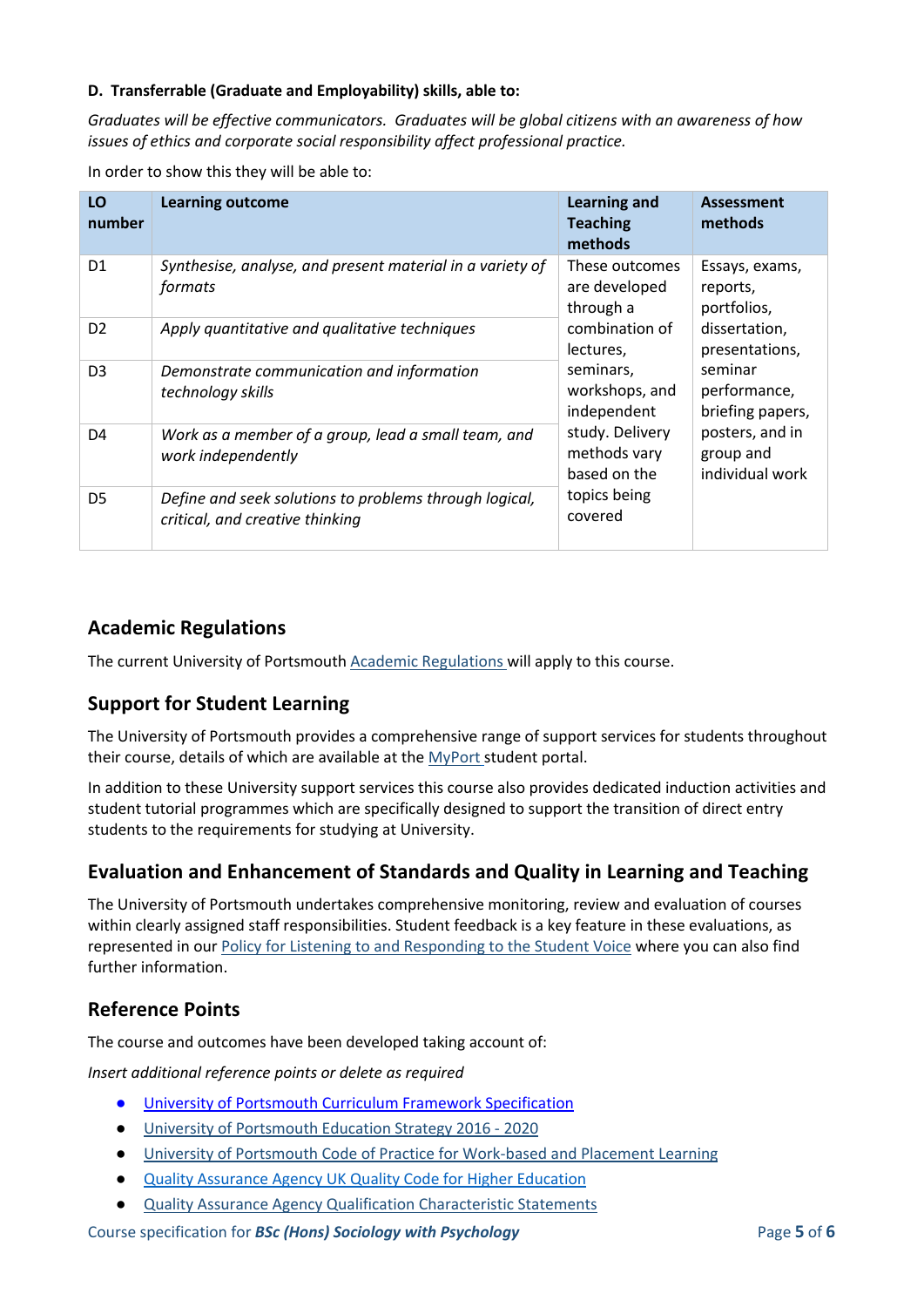#### **D. Transferrable (Graduate and Employability) skills, able to:**

*Graduates will be effective communicators. Graduates will be global citizens with an awareness of how issues of ethics and corporate social responsibility affect professional practice.*

In order to show this they will be able to:

| LO<br>number   | <b>Learning outcome</b>                                                                   | <b>Learning and</b><br><b>Teaching</b><br>methods                                                          | <b>Assessment</b><br>methods                |
|----------------|-------------------------------------------------------------------------------------------|------------------------------------------------------------------------------------------------------------|---------------------------------------------|
| D <sub>1</sub> | Synthesise, analyse, and present material in a variety of<br>formats                      | These outcomes<br>are developed<br>through a                                                               | Essays, exams,<br>reports,<br>portfolios,   |
| D <sub>2</sub> | Apply quantitative and qualitative techniques                                             | combination of<br>lectures,                                                                                | dissertation,<br>presentations,             |
| D <sub>3</sub> | Demonstrate communication and information<br>technology skills                            | seminars,<br>workshops, and<br>independent                                                                 | seminar<br>performance,<br>briefing papers, |
| D <sub>4</sub> | Work as a member of a group, lead a small team, and<br>work independently                 | posters, and in<br>study. Delivery<br>methods vary<br>group and<br>based on the<br>topics being<br>covered | individual work                             |
| D <sub>5</sub> | Define and seek solutions to problems through logical,<br>critical, and creative thinking |                                                                                                            |                                             |

# **Academic Regulations**

The current University of Portsmouth [Academic Regulations](http://www.port.ac.uk/departments/services/academicregistry/qmd/assessmentandregulations/) will apply to this course.

# **Support for Student Learning**

The University of Portsmouth provides a comprehensive range of support services for students throughout their course, details of which are available at the [MyPort](http://myport.ac.uk/) student portal.

In addition to these University support services this course also provides dedicated induction activities and student tutorial programmes which are specifically designed to support the transition of direct entry students to the requirements for studying at University.

# **Evaluation and Enhancement of Standards and Quality in Learning and Teaching**

The University of Portsmouth undertakes comprehensive monitoring, review and evaluation of courses within clearly assigned staff responsibilities. Student feedback is a key feature in these evaluations, as represented in our [Policy for Listening to and Responding to the Student Voice](http://policies.docstore.port.ac.uk/policy-069.pdf) where you can also find further information.

# **Reference Points**

The course and outcomes have been developed taking account of:

*Insert additional reference points or delete as required*

- [University of Portsmouth Curriculum Framework Specification](http://policies.docstore.port.ac.uk/policy-217.pdf?_ga=2.154772414.760286628.1597679298-1988679069.1597080872)
- [University of Portsmouth Education Strategy 2016 -](http://policies.docstore.port.ac.uk/policy-187.pdf) 2020
- [University of Portsmouth Code of Practice for Work-based and Placement Learning](http://policies.docstore.port.ac.uk/policy-151.pdf)
- [Quality Assurance Agency UK Quality Code for Higher Education](https://www.qaa.ac.uk/docs/qaa/quality-code/revised-uk-quality-code-for-higher-education.pdf?sfvrsn=4c19f781_8)
- [Quality Assurance Agency Qualification Characteristic Statements](https://www.qaa.ac.uk/quality-code/supporting-resources)

Course specification for *BSc (Hons) Sociology with Psychology* Page **5** of **6**